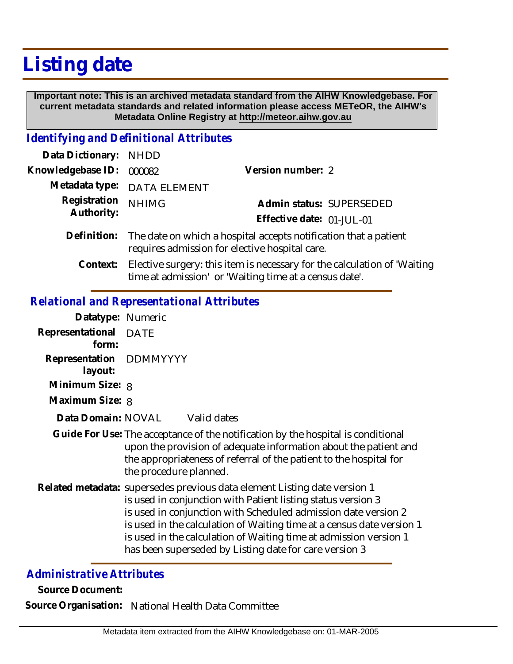# **Listing date**

 **Important note: This is an archived metadata standard from the AIHW Knowledgebase. For current metadata standards and related information please access METeOR, the AIHW's Metadata Online Registry at http://meteor.aihw.gov.au**

#### *Identifying and Definitional Attributes*

| Data Dictionary: NHDD    |                                                                                                                                |                           |                          |
|--------------------------|--------------------------------------------------------------------------------------------------------------------------------|---------------------------|--------------------------|
| Knowledgebase ID: 000082 |                                                                                                                                | Version number: 2         |                          |
|                          | Metadata type: DATA ELEMENT                                                                                                    |                           |                          |
| Registration             | <b>NHIMG</b>                                                                                                                   |                           | Admin status: SUPERSEDED |
| Authority:               |                                                                                                                                | Effective date: 01-JUL-01 |                          |
|                          | Definition: The date on which a hospital accepts notification that a patient<br>requires admission for elective hospital care. |                           |                          |

Elective surgery: this item is necessary for the calculation of 'Waiting time at admission' or 'Waiting time at a census date'. **Context:**

### *Relational and Representational Attributes*

| Datatype: Numeric                  |                                                                                                                                                                                                                                                                                                                                                                                                                     |
|------------------------------------|---------------------------------------------------------------------------------------------------------------------------------------------------------------------------------------------------------------------------------------------------------------------------------------------------------------------------------------------------------------------------------------------------------------------|
| Representational<br>form:          | <b>DATE</b>                                                                                                                                                                                                                                                                                                                                                                                                         |
| Representation DDMMYYYY<br>layout: |                                                                                                                                                                                                                                                                                                                                                                                                                     |
| Minimum Size: 8                    |                                                                                                                                                                                                                                                                                                                                                                                                                     |
| Maximum Size: 8                    |                                                                                                                                                                                                                                                                                                                                                                                                                     |
| Data Domain: NOVAL                 | Valid dates                                                                                                                                                                                                                                                                                                                                                                                                         |
|                                    | Guide For Use: The acceptance of the notification by the hospital is conditional<br>upon the provision of adequate information about the patient and<br>the appropriateness of referral of the patient to the hospital for<br>the procedure planned.                                                                                                                                                                |
|                                    | Related metadata: supersedes previous data element Listing date version 1<br>is used in conjunction with Patient listing status version 3<br>is used in conjunction with Scheduled admission date version 2<br>is used in the calculation of Waiting time at a census date version 1<br>is used in the calculation of Waiting time at admission version 1<br>has been superseded by Listing date for care version 3 |

## *Administrative Attributes*

**Source Document:**

**Source Organisation:** National Health Data Committee